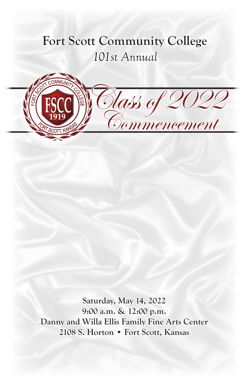# **Fort Scott Community College** *101st Annual*

Class of 2022

**Commencement** 

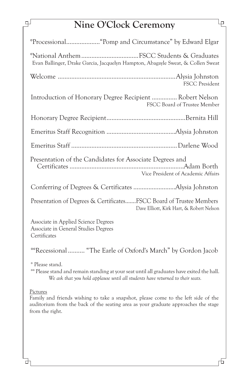# **Nine O'Clock Ceremony**

| Evan Ballinger, Drake Garcia, Jacquelyn Hampton, Abagayle Sweat, & Collen Sweat                                 |
|-----------------------------------------------------------------------------------------------------------------|
| <b>FSCC President</b>                                                                                           |
| Introduction of Honorary Degree Recipient  Robert Nelson<br>FSCC Board of Trustee Member                        |
|                                                                                                                 |
|                                                                                                                 |
|                                                                                                                 |
| Presentation of the Candidates for Associate Degrees and<br>Vice President of Academic Affairs                  |
|                                                                                                                 |
| Presentation of Degrees & CertificatesFSCC Board of Trustee Members<br>Dave Elliott, Kirk Hart, & Robert Nelson |
| Associate in Applied Science Degrees<br>Associate in General Studies Degrees<br>Certificates                    |
| <sup>oo</sup> Recessional  "The Earle of Oxford's March" by Gordon Jacob                                        |

° Please stand.

°° Please stand and remain standing at your seat until all graduates have exited the hall. *We ask that you hold applause until all students have returned to their seats.*

Pictures

击

ᆗ

Family and friends wishing to take a snapshot, please come to the left side of the auditorium from the back of the seating area as your graduate approaches the stage from the right.

Lр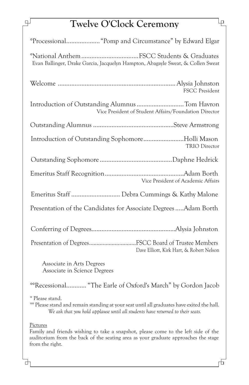# **Twelve O'Clock Ceremony**

 $\mathbb{R}$ 

击

| Evan Ballinger, Drake Garcia, Jacquelyn Hampton, Abagayle Sweat, & Collen Sweat                                                                                                                            |
|------------------------------------------------------------------------------------------------------------------------------------------------------------------------------------------------------------|
| FSCC President                                                                                                                                                                                             |
| Introduction of Outstanding Alumnus Tom Havron<br>Vice President of Student Affairs/Foundation Director                                                                                                    |
|                                                                                                                                                                                                            |
| Introduction of Outstanding SophomoreHolli Mason<br><b>TRIO</b> Director                                                                                                                                   |
|                                                                                                                                                                                                            |
| Vice President of Academic Affairs                                                                                                                                                                         |
| Emeritus Staff  Debra Cummings & Kathy Malone                                                                                                                                                              |
| Presentation of the Candidates for Associate Degrees  Adam Borth                                                                                                                                           |
|                                                                                                                                                                                                            |
| Presentation of DegreesFSCC Board of Trustee Members<br>Dave Elliott, Kirk Hart, & Robert Nelson                                                                                                           |
| Associate in Arts Degrees<br>Associate in Science Degrees                                                                                                                                                  |
| <sup>oo</sup> Recessional "The Earle of Oxford's March" by Gordon Jacob                                                                                                                                    |
| ° Please stand.<br><sup>oo</sup> Please stand and remain standing at your seat until all graduates have exited the hall.<br>We ask that you hold applause until all students have returned to their seats. |
| Pictures<br>Family and friends wishing to take a snapshot, please come to the left side of the<br>auditorium from the back of the seating area as your graduate approaches the stage<br>from the right.    |

市

lρ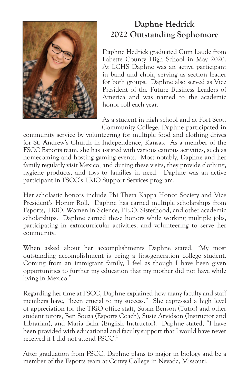

## **Daphne Hedrick 2022 Outstanding Sophomore**

Daphne Hedrick graduated Cum Laude from Labette County High School in May 2020. At LCHS Daphne was an active participant in band and choir, serving as section leader for both groups. Daphne also served as Vice President of the Future Business Leaders of America and was named to the academic honor roll each year.

As a student in high school and at Fort Scott Community College, Daphne participated in

community service by volunteering for multiple food and clothing drives for St. Andrew's Church in Independence, Kansas. As a member of the FSCC Esports team, she has assisted with various campus activities, such as homecoming and hosting gaming events. Most notably, Daphne and her family regularly visit Mexico, and during these visits, they provide clothing, hygiene products, and toys to families in need. Daphne was an active participant in FSCC's TRiO Support Services program.

Her scholastic honors include Phi Theta Kappa Honor Society and Vice President's Honor Roll. Daphne has earned multiple scholarships from Esports, TRiO, Women in Science, P.E.O. Sisterhood, and other academic scholarships. Daphne earned these honors while working multiple jobs, participating in extracurricular activities, and volunteering to serve her community.

When asked about her accomplishments Daphne stated, "My most outstanding accomplishment is being a first-generation college student. Coming from an immigrant family, I feel as though I have been given opportunities to further my education that my mother did not have while living in Mexico."

Regarding her time at FSCC, Daphne explained how many faculty and staff members have, "been crucial to my success." She expressed a high level of appreciation for the TRiO office staff, Susan Benson (Tutor) and other student tutors, Ben Souza (Esports Coach), Susie Arvidson (Instructor and Librarian), and Maria Bahr (English Instructor). Daphne stated, "I have been provided with educational and faculty support that I would have never received if I did not attend FSCC."

After graduation from FSCC, Daphne plans to major in biology and be a member of the Esports team at Cottey College in Nevada, Missouri.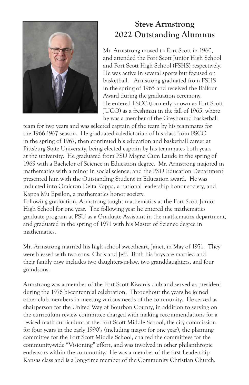

## **Steve Armstrong 2022 Outstanding Alumnus**

Mr. Armstrong moved to Fort Scott in 1960, and attended the Fort Scott Junior High School and Fort Scott High School (FSHS) respectively. He was active in several sports but focused on basketball. Armstrong graduated from FSHS in the spring of 1965 and received the Balfour Award during the graduation ceremony. He entered FSCC (formerly known as Fort Scott JUCO) as a freshman in the fall of 1965, where he was a member of the Greyhound basketball

team for two years and was selected captain of the team by his teammates for the 1966-1967 season. He graduated valedictorian of his class from FSCC in the spring of 1967, then continued his education and basketball career at Pittsburg State University, being elected captain by his teammates both years at the university. He graduated from PSU Magna Cum Laude in the spring of 1969 with a Bachelor of Science in Education degree. Mr. Armstrong majored in mathematics with a minor in social science, and the PSU Education Department presented him with the Outstanding Student in Education award. He was inducted into Omicron Delta Kappa, a national leadership honor society, and Kappa Mu Epsilon, a mathematics honor society.

Following graduation, Armstrong taught mathematics at the Fort Scott Junior High School for one year. The following year he entered the mathematics graduate program at PSU as a Graduate Assistant in the mathematics department, and graduated in the spring of 1971 with his Master of Science degree in mathematics.

Mr. Armstrong married his high school sweetheart, Janet, in May of 1971. They were blessed with two sons, Chris and Jeff. Both his boys are married and their family now includes two daughters-in-law, two granddaughters, and four grandsons.

Armstrong was a member of the Fort Scott Kiwanis club and served as president during the 1976 bi-centennial celebration. Throughout the years he joined other club members in meeting various needs of the community. He served as chairperson for the United Way of Bourbon County, in addition to serving on the curriculum review committee charged with making recommendations for a revised math curriculum at the Fort Scott Middle School, the city commission for four years in the early 1990's (including mayor for one year), the planning committee for the Fort Scott Middle School, chaired the committees for the community-wide "Visioning" effort, and was involved in other philanthropic endeavors within the community. He was a member of the first Leadership Kansas class and is a long-time member of the Community Christian Church.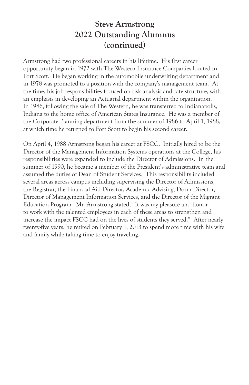### **Steve Armstrong 2022 Outstanding Alumnus (continued)**

Armstrong had two professional careers in his lifetime. His first career opportunity began in 1972 with The Western Insurance Companies located in Fort Scott. He began working in the automobile underwriting department and in 1978 was promoted to a position with the company's management team. At the time, his job responsibilities focused on risk analysis and rate structure, with an emphasis in developing an Actuarial department within the organization. In 1986, following the sale of The Western, he was transferred to Indianapolis, Indiana to the home office of American States Insurance. He was a member of the Corporate Planning department from the summer of 1986 to April 1, 1988, at which time he returned to Fort Scott to begin his second career.

On April 4, 1988 Armstrong began his career at FSCC. Initially hired to be the Director of the Management Information Systems operations at the College, his responsibilities were expanded to include the Director of Admissions. In the summer of 1990, he became a member of the President's administrative team and assumed the duties of Dean of Student Services. This responsibility included several areas across campus including supervising the Director of Admissions, the Registrar, the Financial Aid Director, Academic Advising, Dorm Director, Director of Management Information Services, and the Director of the Migrant Education Program. Mr. Armstrong stated, "It was my pleasure and honor to work with the talented employees in each of these areas to strengthen and increase the impact FSCC had on the lives of students they served." After nearly twenty-five years, he retired on February 1, 2013 to spend more time with his wife and family while taking time to enjoy traveling.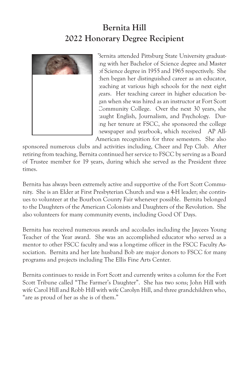## **Bernita Hill 2022 Honorary Degree Recipient**

Bernita attended Pittsburg State University graduating with her Bachelor of Science degree and Master of Science degree in 1955 and 1965 respectively. She then began her distinguished career as an educator, teaching at various high schools for the next eight years. Her teaching career in higher education began when she was hired as an instructor at Fort Scott Community College. Over the next 30 years, she taught English, Journalism, and Psychology. During her tenure at FSCC, she sponsored the college newspaper and yearbook, which received AP All-American recognition for three semesters. She also

sponsored numerous clubs and activities including, Cheer and Pep Club. After retiring from teaching, Bernita continued her service to FSCC by serving as a Board of Trustee member for 19 years, during which she served as the President three times.

Bernita has always been extremely active and supportive of the Fort Scott Community. She is an Elder at First Presbyterian Church and was a 4-H leader; she continues to volunteer at the Bourbon County Fair whenever possible. Bernita belonged to the Daughters of the American Colonists and Daughters of the Revolution. She also volunteers for many community events, including Good Ol' Days.

Bernita has received numerous awards and accolades including the Jaycees Young Teacher of the Year award. She was an accomplished educator who served as a mentor to other FSCC faculty and was a long-time officer in the FSCC Faculty Association. Bernita and her late husband Bob are major donors to FSCC for many programs and projects including The Ellis Fine Arts Center.

Bernita continues to reside in Fort Scott and currently writes a column for the Fort Scott Tribune called "The Farmer's Daughter". She has two sons; John Hill with wife Carol Hill and Robb Hill with wife Carolyn Hill, and three grandchildren who, "are as proud of her as she is of them."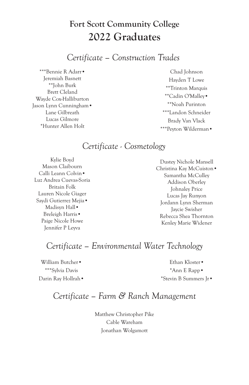*Certificate – Construction Trades*

\*\*\*Bennie R Adarr• Jeremiah Basnett \*\*John Burk Brett Cleland Wayde Cox-Halliburton Jason Lynn Cunningham• Lane Gilbreath Lucas Gilmore \*Hunter Allen Holt

Chad Johnson Hayden T Lowe \*\*Trinton Marquis \*\*Cadin O'Malley• \*\*Noah Purinton \*\*\*Landon Schneider Brady Van Vlack \*\*\*Peyton Wilderman•

### *Certificate - Cosmetology*

Kylie Boyd Mason Claibourn Calli Leann Colvin• Luz Andrea Cuevas-Soria Britain Folk Lauren Nicole Giager Saydi Gutierrez Mejia• Madisyn Hall• Breleigh Harris• Paige Nicole Howe Jennifer P Leyva

Dustey Nichole Mansell Christina Kay McCuiston• Samantha McCulley Addison Oberley Johnaley Price Lucas Jay Runyon Jordann Lynn Sherman Jaycie Swisher Rebecca Shea Thornton Kenley Marie Widener

### *Certificate – Environmental Water Technology*

William Butcher• \*\*\*Sylvia Davis Darin Ray Hollrah•

Ethan Kloster• \*Ann E Rapp• \*Stevin B Summers Jr•

### *Certificate – Farm & Ranch Management*

Matthew Christopher Pike Cable Wareham Jonathan Wolgamott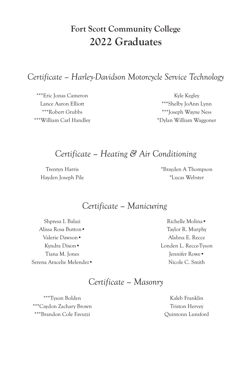*Certificate – Harley-Davidson Motorcycle Service Technology*

\*\*\*Eric Jonas Cameron Lance Aaron Elliott \*\*\*Robert Grubbs \*\*\*William Carl Handley

Kyle Kegley \*\*\*Shelby JoAnn Lynn \*\*\*Joseph Wayne Ness \*Dylan William Waggoner

### *Certificate – Heating & Air Conditioning*

Trentyn Harris Hayden Joseph Pile \*Brayden A Thompson \*Lucas Webster

### *Certificate – Manicuring*

Shpresa I. Balazi Alissa Rosa Button• Valerie Dawson• Kyndra Dixon• Tiana M. Jones Serena Aracelie Melendez•

Richelle Molina• Taylor R. Murphy Alahna E. Recce Londen L. Recce-Tyson Jennifer Rowe• Nicole C. Smith

### *Certificate – Masonry*

\*\*\*Tyson Bolden \*\*\*Caydon Zachary Brown \*\*\*Brandon Cole Favuzzi

Kaleb Franklin Triston Hervey Quintonn Lunsford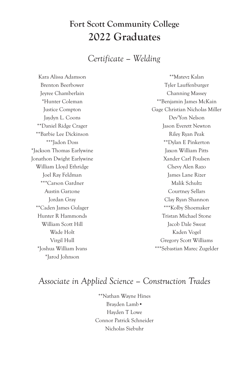*Certificate – Welding*

Kara Alissa Adamson Brenton Beerbower Jeyree Chamberlain \*Hunter Coleman Justice Compton Jaydyn L. Coons \*\*Daniel Ridge Crager \*\*Barbie Lee Dickinson \*\*\*Jadon Doss \*Jackson Thomas Earlywine Jonathon Dwight Earlywine William Lloyd Ethridge Joel Ray Feldman \*\*\*Carson Gardner Austin Garzone Jordan Gray \*\*Caden James Gulager Hunter R Hammonds William Scott Hill Wade Holt Virgil Hull \*Joshua William Ivans \*Jarod Johnson

\*\*Matevz Kalan Tyler Lauffenburger Channing Massey \*\*Benjamin James McKain Gage Christian Nicholas Miller Dev'Yon Nelson Jason Everett Newton Riley Ryan Peak \*\*Dylan E Pinkerton Jaxon William Pitts Xander Carl Poulsen Chevy Alen Razo James Lane Rizer Malik Schultz Courtney Sellars Clay Ryan Shannon \*\*\*Kolby Shoemaker Tristan Michael Stone Jacob Dale Sweat Kaden Vogel Gregory Scott Williams \*\*\*Sebastian Marec Zugelder

### *Associate in Applied Science – Construction Trades*

\*\*Nathan Wayne Hines Brayden Lamb• Hayden T Lowe Connor Patrick Schneider Nicholas Siebuhr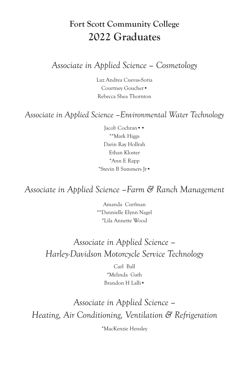### *Associate in Applied Science – Cosmetology*

Luz Andrea Cuevas-Soria Courtney Goucher• Rebecca Shea Thornton

### *Associate in Applied Science –Environmental Water Technology*

Jacob Cochran•• \*\*Mark Higgs Darin Ray Hollrah Ethan Kloster \*Ann E Rapp \*Stevin B Summers Jr•

## *Associate in Applied Science –Farm & Ranch Management*

Amanda Curfman \*\*Dannielle Elynn Nagel \*Lila Annette Wood

## *Associate in Applied Science – Harley-Davidson Motorcycle Service Technology*

Carl Ball \*Melinda Gath Brandon H Lalli•

# *Associate in Applied Science – Heating, Air Conditioning, Ventilation & Refrigeration*

\*MacKenzie Hensley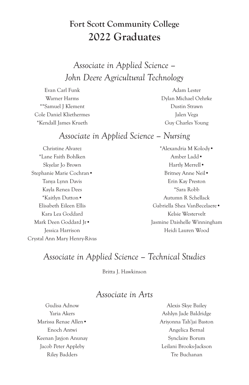*Associate in Applied Science – John Deere Agricultural Technology*

Evan Carl Funk Warner Harms \*\*Samuel J Klement Cole Daniel Kliethermes \*Kendall James Krueth

Adam Lester Dylan Michael Oehrke Dustin Strawn Jalen Vega Guy Charles Young

### *Associate in Applied Science – Nursing*

Christine Alvarez \*Lane Faith Bohlken Skyelar Jo Brown Stephanie Marie Cochran• Tanya Lynn Davis Kayla Renea Dees \*Kaitlyn Dutton• Elisabeth Eileen Ellis Kara Lea Goddard Mark Deen Goddard Jr• Jessica Harrison Crystal Ann Mary Henry-Rivas

\*Alexandria M Kolody• Amber Ladd• Hartly Merrell• Britney Anne Neil• Erin Kay Preston \*Sara Robb Autumn R Schellack Gabriella Shea VanBecelaere• Kelsie Westervelt Jasmine Daishelle Winningham Heidi Lauren Wood

### *Associate in Applied Science – Technical Studies*

Britta J. Hawkinson

#### *Associate in Arts*

Gudisa Adnow Yaria Akers Marissa Renae Allen• Enoch Antwi Keenan Jayjon Anunay Jacob Peter Appleby Riley Badders

Alexis Skye Bailey Ashlyn Jade Baldridge Ariyonna Tah'jai Baston Angelica Bernal Synclaire Borum Leilani Brooks-Jackson Tre Buchanan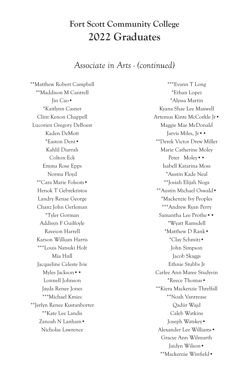#### *Associate in Arts - (continued)*

\*\*Matthew Robert Campbell \*\*Maddison M Cantrell Jin Cao• \*Kaitlynn Casner Clint Kenon Chappell Lucorien Gregory DeBoest Kaden DeMott \*Easton Dent• Kahlil Diarrah Colton Eck Emma Rose Epps Norma Floyd \*\*Cara Marie Folsom• Henok T Gebrekristos Landry Renae George Chanz John Gerleman \*Tyler Gorman Addisyn F Guilfoyle Raveion Harrell Karson William Harris \*\*\*Louis Natsuki Holt Mia Hull Jacqueline Celeste Ivie Myles Jackson•• Lonnell Johnson Jayda Renee Jones \*\*\*Michael Kmiec \*\*Jerlyn Renee Kustanborter \*\*Kate Lee Landis Zanoah N Lanham• Nicholas Lawrence

\*\*\*Evann T Long \*Ethan Lopez \*Alyssa Martin Kyana Shae Lee Maxwell Artemus Kinte McCorkle Jr• Maggie Mae McDonald Jarvis Miles, Jr•• \*\*Derek Victor Drew Miller Marie Catherine Moley Peter Moley•• Isabell Katarina Moss \*Austin Kade Neal \*\*Josiah Elijah Noga \*\*Austin Michael Oswald• \*Mackenzie Ivy Peoples \*\*\*Andrew Ryan Perry Samantha Lee Prothe•• \*Wyatt Ramsdell \*Matthew D Rank• \*Clay Schmitz• John Simpson Jacob Skaggs Ethnie Stubbs Jr Carlee Ann Maree Studyvin \*Reece Thomas• \*\*Kiera Mackenzie Threlfall \*\*Noah Vantrease Qadiir Wajd Caleb Watkins Joseph Watskey• Alexander Lee Williams• Gracye Ann Wilmurth Jaidyn Wilson• \*\*Mackenzie Winfield•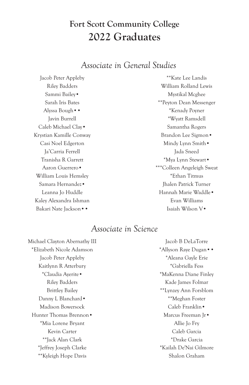### *Associate in General Studies*

Jacob Peter Appleby Riley Badders Sammi Bailey• Sarah Iris Bates Alyssa Bough•• Javin Burrell Caleb Michael Clay• Krystian Kamille Conway Casi Noel Edgerton Ja'Carria Ferrell Tranisha R Garrett Aaron Guerrero• William Louis Hemsley Samara Hernandez• Leanna Jo Huddle Kaley Alexandra Ishman Bakari Nate Jackson••

\*\*Kate Lee Landis William Rolland Lewis Mystikal Mcghee \*\*Peyton Dean Messenger \*Kenady Poyner \*Wyatt Ramsdell Samantha Rogers Brandon Lee Sigmon• Mindy Lynn Smith• Jada Sneed \*Mya Lynn Stewart• \*\*\*Colleen Angeleigh Sweat \*Ethan Titmus Jhalen Patrick Turner Hannah Marie Waddle• Evan Williams Isaiah Wilson V•

### *Associate in Science*

Michael Clayton Abernathy III \*Elizabeth Nicole Adamson Jacob Peter Appleby Kaitlynn R Atterbury \*Claudia Ayerite• Riley Badders Brittley Bailey Danny L Blanchard• Madison Bowersock Hunter Thomas Brennon• \*Mia Lorene Bryant Kevin Carter \*\*Jack Alan Clark \*Jeffrey Joseph Clarke \*\*Kyleigh Hope Davis

Jacob B DeLaTorre \*Allyson Raye Dugan•• \*Aleana Gayle Erie \*Gabriella Fess \*MaKenna Diane Finley Kade James Folmar \*\*Lynzey Ann Forsblom \*\*Meghan Foster Caleb Franklin• Marcus Freeman Jr• Allie Jo Fry Caleb Garcia \*Drake Garcia \*Kailah De'Nai Gilmore Shalon Graham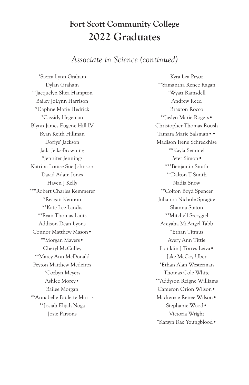#### *Associate in Science (continued)*

\*Sierra Lynn Graham Dylan Graham \*\*Jacquelyn Shea Hampton Bailey JoLynn Harrison \*Daphne Marie Hedrick \*Cassidy Hegeman Blynn James Eugene Hill IV Ryan Keith Hillman Doriye' Jackson Jada Jelks-Browning \*Jennifer Jennings Katrina Louise Sue Johnson David Adam Jones Haven J Kelly \*\*\*Robert Charles Kemmerer \*Reagan Kennon \*\*Kate Lee Landis \*\*Ryan Thomas Lauts Addison Dean Lyons Connor Matthew Mason• \*\*Morgan Mavers• Cheryl McCulley \*\*Marcy Ann McDonald Peyton Matthew Medeiros \*Corbyn Meyers Ashlee Morey• Bailee Morgan \*\*Annabelle Paulette Morris \*\*Josiah Elijah Noga Josie Parsons

Kyra Lea Pryor \*\*Samantha Renee Ragan \*Wyatt Ramsdell Andrew Reed Braxton Rocco \*\*Jaylyn Marie Rogers• Christopher Thomas Roush Tamara Marie Salsman•• Madison Irene Schreckhise \*\*Kayla Semmel Peter Simon• \*\*\*Benjamin Smith \*\*Dalton T Smith Nadia Snow \*\*Colton Boyd Spencer Julianna Nichole Sprague Shanna Staton \*\*Mitchell Szczygiel Aniyaha Mi'Angel Tabb \*Ethan Titmus Avery Ann Tittle Franklin J Torres Leiva• Jake McCoy Uber \*Ethan Alan Westerman Thomas Cole White \*\*Addyson Reigne Williams Cameron Orion Wilson• Mackenzie Renee Wilson• Stephanie Wood• Victoria Wright \*Karsyn Rae Youngblood•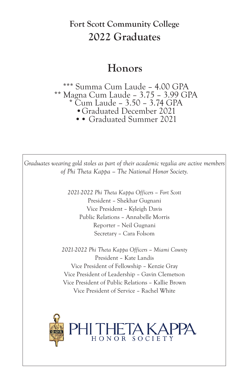## **Honors**

\*\*\* Summa Cum Laude – 4.00 GPA \*\* Magna Cum Laude – 3.75 – 3.99 GPA \* Cum Laude – 3.50 – 3.74 GPA •Graduated December 2021 •• Graduated Summer 2021

*Graduates wearing gold stoles as part of their academic regalia are active members of Phi Theta Kappa – The National Honor Society.*

> *2021-2022 Phi Theta Kappa Officers – Fort Scott* President – Shekhar Gugnani Vice President – Kyleigh Davis Public Relations – Annabelle Morris Reporter – Neil Gugnani Secretary – Cara Folsom

*2021-2022 Phi Theta Kappa Officers – Miami County* President – Kate Landis Vice President of Fellowship – Kenzie Gray Vice President of Leadership – Gavin Clemetson Vice President of Public Relations – Kallie Brown Vice President of Service – Rachel White

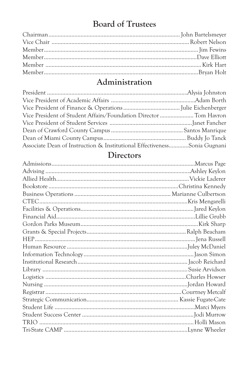## **Board of Trustees**

## Administration

| Vice President of Student Affairs/Foundation Director  Tom Havron        |  |
|--------------------------------------------------------------------------|--|
|                                                                          |  |
|                                                                          |  |
|                                                                          |  |
| Associate Dean of Instruction & Institutional EffectivenessSonia Gugnani |  |

## **Directors**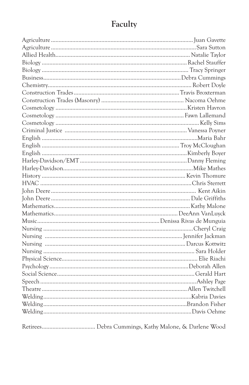## Faculty